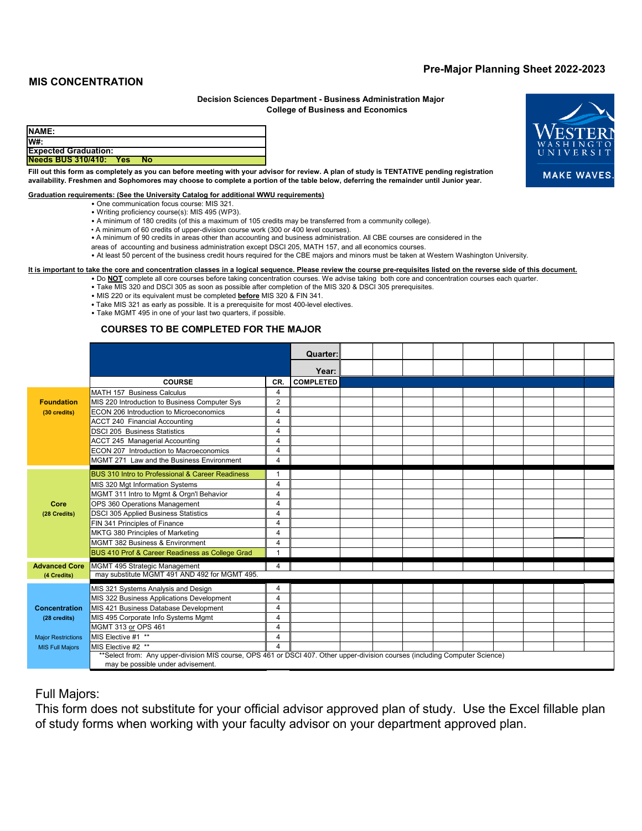## **Pre-Major Planning Sheet 2022-2023**

## **MIS CONCENTRATION**

#### **College of Business and Economics Decision Sciences Department - Business Administration Major**

| <b>NAME:</b>                  |    |  |  |
|-------------------------------|----|--|--|
| W#:                           |    |  |  |
| <b>Expected Graduation:</b>   |    |  |  |
| <b>Needs BUS 310/410: Yes</b> | No |  |  |
| _____                         |    |  |  |

**MAKE WAVES** 

#### **Fill out this form as completely as you can before meeting with your advisor for review. A plan of study is TENTATIVE pending registration availability. Freshmen and Sophomores may choose to complete a portion of the table below, deferring the remainder until Junior year.**

#### **Graduation requirements: (See the University Catalog for additional WWU requirements)**

- One communication focus course: MIS 321.
- Writing proficiency course(s): MIS 495 (WP3).
- A minimum of 180 credits (of this a maximum of 105 credits may be transferred from a community college).
- A minimum of 60 credits of upper-division course work (300 or 400 level courses).
- A minimum of 90 credits in areas other than accounting and business administration. All CBE courses are considered in the
- areas of accounting and business administration except DSCI 205, MATH 157, and all economics courses.

# • At least 50 percent of the business credit hours required for the CBE majors and minors must be taken at Western Washington University.

- **It is important to take the core and concentration classes in a logical sequence. Please review the course pre-requisites listed on the reverse side of this document.**
	- Do **NOT** complete all core courses before taking concentration courses. We advise taking both core and concentration courses each quarter.
	- Take MIS 320 and DSCI 305 as soon as possible after completion of the MIS 320 & DSCI 305 prerequisites.
	- MIS 220 or its equivalent must be completed **before** MIS 320 & FIN 341.
	- Take MIS 321 as early as possible. It is a prerequisite for most 400-level electives.
	- Take MGMT 495 in one of your last two quarters, if possible.

### **COURSES TO BE COMPLETED FOR THE MAJOR**

|                           |                                                                                                                              |                  | Quarter: |  |  |  |  |  |  |  |  |
|---------------------------|------------------------------------------------------------------------------------------------------------------------------|------------------|----------|--|--|--|--|--|--|--|--|
|                           |                                                                                                                              |                  | Year:    |  |  |  |  |  |  |  |  |
|                           | <b>COURSE</b>                                                                                                                | <b>COMPLETED</b> |          |  |  |  |  |  |  |  |  |
|                           | MATH 157 Business Calculus                                                                                                   | 4                |          |  |  |  |  |  |  |  |  |
| <b>Foundation</b>         | MIS 220 Introduction to Business Computer Sys                                                                                | $\overline{2}$   |          |  |  |  |  |  |  |  |  |
| (30 credits)              | ECON 206 Introduction to Microeconomics                                                                                      | 4                |          |  |  |  |  |  |  |  |  |
|                           | <b>ACCT 240 Financial Accounting</b>                                                                                         | 4                |          |  |  |  |  |  |  |  |  |
|                           | <b>DSCI 205 Business Statistics</b>                                                                                          | $\overline{4}$   |          |  |  |  |  |  |  |  |  |
|                           | ACCT 245 Managerial Accounting                                                                                               | 4                |          |  |  |  |  |  |  |  |  |
|                           | ECON 207 Introduction to Macroeconomics                                                                                      | 4                |          |  |  |  |  |  |  |  |  |
|                           | MGMT 271 Law and the Business Environment                                                                                    | $\overline{4}$   |          |  |  |  |  |  |  |  |  |
|                           | BUS 310 Intro to Professional & Career Readiness                                                                             | $\overline{1}$   |          |  |  |  |  |  |  |  |  |
|                           | MIS 320 Mgt Information Systems                                                                                              | $\overline{4}$   |          |  |  |  |  |  |  |  |  |
|                           | MGMT 311 Intro to Mgmt & Orgn'l Behavior                                                                                     | 4                |          |  |  |  |  |  |  |  |  |
| Core                      | OPS 360 Operations Management                                                                                                | 4                |          |  |  |  |  |  |  |  |  |
| (28 Credits)              | <b>DSCI 305 Applied Business Statistics</b>                                                                                  | $\overline{4}$   |          |  |  |  |  |  |  |  |  |
|                           | FIN 341 Principles of Finance                                                                                                | $\overline{4}$   |          |  |  |  |  |  |  |  |  |
|                           | MKTG 380 Principles of Marketing                                                                                             | $\Delta$         |          |  |  |  |  |  |  |  |  |
|                           | MGMT 382 Business & Environment                                                                                              | 4                |          |  |  |  |  |  |  |  |  |
|                           | BUS 410 Prof & Career Readiness as College Grad                                                                              | $\overline{1}$   |          |  |  |  |  |  |  |  |  |
| <b>Advanced Core</b>      | MGMT 495 Strategic Management                                                                                                | $\Delta$         |          |  |  |  |  |  |  |  |  |
| (4 Credits)               | may substitute MGMT 491 AND 492 for MGMT 495.                                                                                |                  |          |  |  |  |  |  |  |  |  |
|                           | MIS 321 Systems Analysis and Design                                                                                          | $\overline{4}$   |          |  |  |  |  |  |  |  |  |
|                           | MIS 322 Business Applications Development                                                                                    | 4                |          |  |  |  |  |  |  |  |  |
| <b>Concentration</b>      | MIS 421 Business Database Development                                                                                        | 4                |          |  |  |  |  |  |  |  |  |
| (28 credits)              | MIS 495 Corporate Info Systems Mgmt                                                                                          | 4                |          |  |  |  |  |  |  |  |  |
|                           | MGMT 313 or OPS 461                                                                                                          | 4                |          |  |  |  |  |  |  |  |  |
| <b>Major Restrictions</b> | MIS Elective #1 **                                                                                                           | $\overline{4}$   |          |  |  |  |  |  |  |  |  |
| <b>MIS Full Majors</b>    | MIS Elective #2 **                                                                                                           | $\Delta$         |          |  |  |  |  |  |  |  |  |
|                           | **Select from: Any upper-division MIS course, OPS 461 or DSCI 407. Other upper-division courses (including Computer Science) |                  |          |  |  |  |  |  |  |  |  |
|                           | may be possible under advisement.                                                                                            |                  |          |  |  |  |  |  |  |  |  |

## Full Majors:

This form does not substitute for your official advisor approved plan of study. Use the Excel fillable plan of study forms when working with your faculty advisor on your department approved plan.